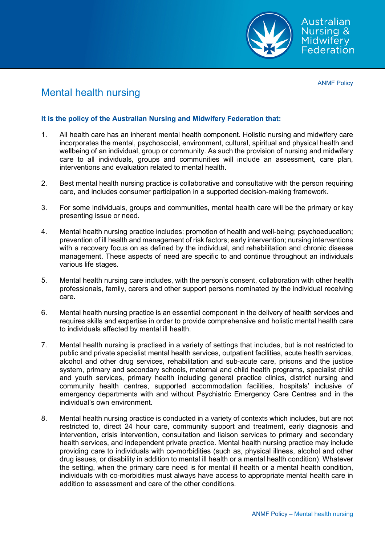

ANMF Policy

# Mental health nursing

### **It is the policy of the Australian Nursing and Midwifery Federation that:**

- 1. All health care has an inherent mental health component. Holistic nursing and midwifery care incorporates the mental, psychosocial, environment, cultural, spiritual and physical health and wellbeing of an individual, group or community. As such the provision of nursing and midwifery care to all individuals, groups and communities will include an assessment, care plan, interventions and evaluation related to mental health.
- 2. Best mental health nursing practice is collaborative and consultative with the person requiring care, and includes consumer participation in a supported decision-making framework.
- 3. For some individuals, groups and communities, mental health care will be the primary or key presenting issue or need.
- 4. Mental health nursing practice includes: promotion of health and well-being; psychoeducation; prevention of ill health and management of risk factors; early intervention; nursing interventions with a recovery focus on as defined by the individual, and rehabilitation and chronic disease management. These aspects of need are specific to and continue throughout an individuals various life stages.
- 5. Mental health nursing care includes, with the person's consent, collaboration with other health professionals, family, carers and other support persons nominated by the individual receiving care.
- 6. Mental health nursing practice is an essential component in the delivery of health services and requires skills and expertise in order to provide comprehensive and holistic mental health care to individuals affected by mental ill health.
- 7. Mental health nursing is practised in a variety of settings that includes, but is not restricted to public and private specialist mental health services, outpatient facilities, acute health services, alcohol and other drug services, rehabilitation and sub-acute care, prisons and the justice system, primary and secondary schools, maternal and child health programs, specialist child and youth services, primary health including general practice clinics, district nursing and community health centres, supported accommodation facilities, hospitals' inclusive of emergency departments with and without Psychiatric Emergency Care Centres and in the individual's own environment.
- 8. Mental health nursing practice is conducted in a variety of contexts which includes, but are not restricted to, direct 24 hour care, community support and treatment, early diagnosis and intervention, crisis intervention, consultation and liaison services to primary and secondary health services, and independent private practice. Mental health nursing practice may include providing care to individuals with co-morbidities (such as, physical illness, alcohol and other drug issues, or disability in addition to mental ill health or a mental health condition). Whatever the setting, when the primary care need is for mental ill health or a mental health condition, individuals with co-morbidities must always have access to appropriate mental health care in addition to assessment and care of the other conditions.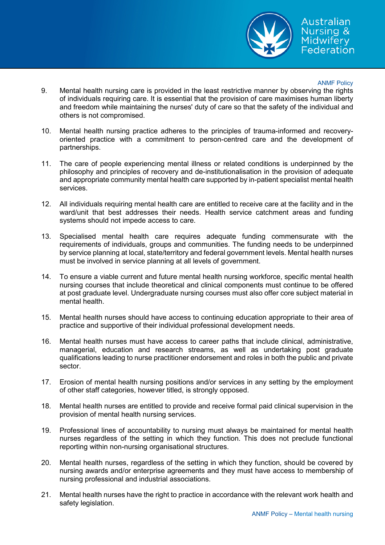

#### ANMF Policy

- 9. Mental health nursing care is provided in the least restrictive manner by observing the rights of individuals requiring care. It is essential that the provision of care maximises human liberty and freedom while maintaining the nurses' duty of care so that the safety of the individual and others is not compromised.
- 10. Mental health nursing practice adheres to the principles of trauma-informed and recoveryoriented practice with a commitment to person-centred care and the development of partnerships.
- 11. The care of people experiencing mental illness or related conditions is underpinned by the philosophy and principles of recovery and de-institutionalisation in the provision of adequate and appropriate community mental health care supported by in-patient specialist mental health services.
- 12. All individuals requiring mental health care are entitled to receive care at the facility and in the ward/unit that best addresses their needs. Health service catchment areas and funding systems should not impede access to care.
- 13. Specialised mental health care requires adequate funding commensurate with the requirements of individuals, groups and communities. The funding needs to be underpinned by service planning at local, state/territory and federal government levels. Mental health nurses must be involved in service planning at all levels of government.
- 14. To ensure a viable current and future mental health nursing workforce, specific mental health nursing courses that include theoretical and clinical components must continue to be offered at post graduate level. Undergraduate nursing courses must also offer core subject material in mental health.
- 15. Mental health nurses should have access to continuing education appropriate to their area of practice and supportive of their individual professional development needs.
- 16. Mental health nurses must have access to career paths that include clinical, administrative, managerial, education and research streams, as well as undertaking post graduate qualifications leading to nurse practitioner endorsement and roles in both the public and private sector.
- 17. Erosion of mental health nursing positions and/or services in any setting by the employment of other staff categories, however titled, is strongly opposed.
- 18. Mental health nurses are entitled to provide and receive formal paid clinical supervision in the provision of mental health nursing services.
- 19. Professional lines of accountability to nursing must always be maintained for mental health nurses regardless of the setting in which they function. This does not preclude functional reporting within non-nursing organisational structures.
- 20. Mental health nurses, regardless of the setting in which they function, should be covered by nursing awards and/or enterprise agreements and they must have access to membership of nursing professional and industrial associations.
- 21. Mental health nurses have the right to practice in accordance with the relevant work health and safety legislation.